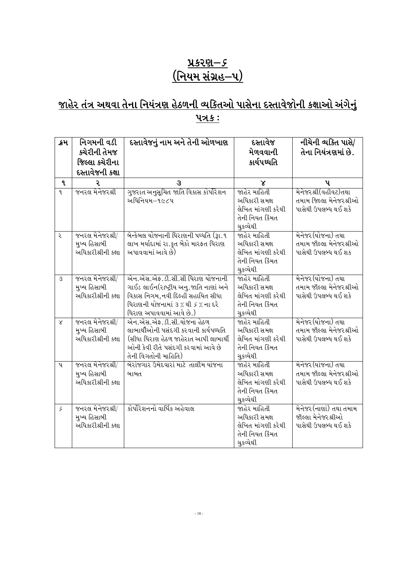## <u> પ્રકરણ–૬</u> <u>(નિયમ સંગ્રહ–૫)</u>

## <u>જાહેર તંત્ર અથવા તેના નિયંત્રણ હેઠળની વ્યકિતઓ પાસેના દસ્તાવેજોની કક્ષાઓ અંગેનું</u> <u> 475:</u>

| ક્રમ         | નિગમની વડી<br>ક્ચેરીની તેમજ<br>જિલ્લા કચેરીના<br>દસ્તાવેજની કક્ષા         | દસ્તાવેજનું નામ અને તેની ઓળખાણ                                                                                                                                                 | દસ્તાવેજ<br>મેળવવાની<br>કાર્યપઘ્ધતિ                                                 | નીચેની વ્યક્તિ પાસે/<br>તેના નિયંત્રણમાં છે.                            |
|--------------|---------------------------------------------------------------------------|--------------------------------------------------------------------------------------------------------------------------------------------------------------------------------|-------------------------------------------------------------------------------------|-------------------------------------------------------------------------|
| $\mathbf{q}$ | Ç.                                                                        | З                                                                                                                                                                              | x                                                                                   | પ                                                                       |
| q            | જનરલ મેનેજરશ્રી                                                           | ગુજરાત અનુસૂચિત જાતિ વિકાસ કોર્પોરેશન<br>અધિનિયમ–૧૯૮૫                                                                                                                          | જાહેર માહિતી<br>અધિકારી સમક્ષ<br>લેખિત માંગણી કરેથી<br>તેની નિયત કિંમત<br>ચુકવ્યેથી | મેનેજરશ્રી(વહીવટ)તથા<br>તમામ જિલ્લા મેનેજરશ્રીઓ<br>પાસેથી ઉપલબ્ધ થઈ શકે |
| २            | જનરલ મેનેજરશ્રી/<br>મુખ્ય હિસાબી<br>અધિકારીશ્રીની કક્ષા                   | બેન્કેબલ યોજનાની ધિરાણની પઘ્ધતિ (રૂા.૧<br>લાખ મર્યાદામાં રા.કૃત બેંકો મારફત ધિરાણ<br>અપાવવામાં આવે છે)                                                                         | જાહેર માહિતી<br>અધિકારી સમક્ષ<br>લેખિત માંગણી કરેથી<br>તેની નિયત કિંમત<br>ચુકવ્યેથી | મેનેજર (યોજના) તથા<br>તમામ જીલ્લા મેનેજરશ્રીઓ<br>પાસેથી ઉપલબ્ધ થઈ શક    |
| 3            | જનરલ મેનેજરશ્રી/<br>મુખ્ય હિસાબી<br>અધિકારીશ્રીની કક્ષા                   | એન.એસ.એફ.ડી.સી.સી ધિરાણ યોજનાની<br>ગાઈડ લાઈન(રાષ્ટ્રીય અનુ.જાતિ નાણાં અને<br>વિકાસ નિગમ, નવી દિલ્હી સહાયિત સીધા<br>યિરાણની યોજનામાં ૩%થી ૬% ના દરે<br>થિરાણ અપાવવામાં આવે છે.) | જાહેર માહિતી<br>અધિકારી સમક્ષ<br>લેખિત માંગણી કરેથી<br>તેની નિયત કિંમત<br>ચુકવ્યેથી | મેનેજર(યોજના) તથા<br>તમામ જીલ્લા મેનેજરશ્રીઓ<br>પાસેથી ઉપલબ્ધ થઈ શકે    |
| $\propto$    | જનરલ મેનેજરશ્રી/<br>મુખ્ય હિસાબી<br>અધિકારીશ્રીની કક્ષા                   | એન.એસ.એફ.ડી.સી.યોજના હેઠળ<br>લાભાર્થીઓની પસંદગી કરવાની કાર્યપઘ્ધતિ<br>(સીધા ધિરાણ હેઠળ જાહેરાત આપી લાભાર્થી<br>ઓની કેવી રીતે પસંદગી કરવામાં આવે છે<br>તેની વિગતોની માહિતિ)     | જાહેર માહિતી<br>અધિકારી સમક્ષ<br>લેખિત માંગણી કરેથી<br>તેની નિયત કિંમત<br>ચુકવ્યેથી | મેનેજર(યોજના) તથા<br>તમામ જીલ્લા મેનેજરશ્રીઓ<br>પાસેથી ઉપલબ્ધ થઈ શકે    |
| પ            | જનરલ $\hat{\mathcal{H}}$ નેજરશ્રી/<br>મુખ્ય હિસાબી<br>અધિકારીશ્રીની કક્ષા | બેરોજગાર ઉમેદવારો માટે તાલીમ યોજના<br>બાબત                                                                                                                                     | જાહેર માહિતી<br>અધિકારી સમક્ષ<br>લેખિત માંગણી કરેથી<br>તેની નિયત કિંમત<br>ચુકવ્યેથી | મેનેજર (યોજના) તથા<br>તમામ જીલ્લા મેનેજરશ્રીઓ<br>પાસેથી ઉપલબ્ધ થઈ શકે   |
| ۶            | જનરલ મેનેજરશ્રી/<br>મુખ્ય હિસાબી<br>અધિકારીશ્રીની કક્ષા                   | કોર્પોરેશનનો વાર્ષિક અહેવાલ                                                                                                                                                    | જાહેર માહિતી<br>અધિકારી સમક્ષ<br>લેખિત માંગણી કરેથી<br>તેની નિયત કિંમત<br>ચુકવ્યેથી | મેનેજર (નાણાં) તથા તમામ<br>જીલ્લા મેનેજરશ્રીઓ<br>પાસેથી ઉપલબ્ધ થઈ શકે   |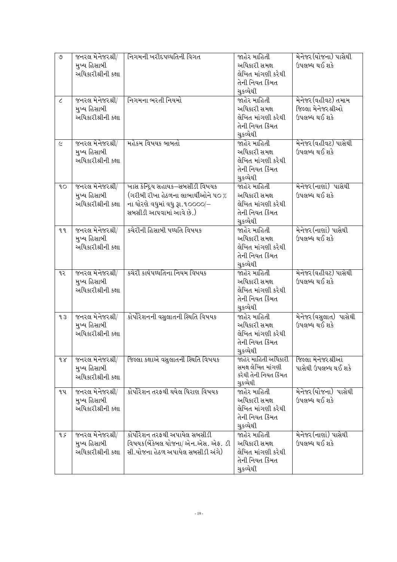| ৩          | જનરલ મેનેજરશ્રી/<br>મુખ્ય હિસાબી<br>અધિકારીશ્રીની કક્ષા | નિગમની ખરીદપઘ્ઘતિની વિગત                                                                                                              | જાહેર માહિતી<br>અધિકારી સમક્ષ<br>લેખિત માંગણી કરેથી<br>તેની નિયત કિંમત<br>ચુકવ્યેથી | મેનેજર (યોજના) પાસેથી<br>ઉપલબ્ધ થઈ શકે                     |
|------------|---------------------------------------------------------|---------------------------------------------------------------------------------------------------------------------------------------|-------------------------------------------------------------------------------------|------------------------------------------------------------|
| $\epsilon$ | જનરલ મેનેજરશ્રી/<br>મુખ્ય હિસાબી<br>અધિકારીશ્રીની કક્ષા | નિગમના ભરતી નિયમો                                                                                                                     | જાહેર માહિતી<br>અધિકારી સમક્ષ<br>લેખિત માંગણી કરેથી<br>તેની નિયત કિંમત<br>ચુકવ્યેથી | મેનેજર (વહીવટ) તમામ<br>જિલ્લા મેનેજરશ્રીઓ<br>ઉપલબ્ધ થઈ શકે |
| $\epsilon$ | જનરલ મેનેજરશ્રી/<br>મુખ્ય હિસાબી<br>અધિકારીશ્રીની કક્ષા | મહેકમ વિષયક બાબતો                                                                                                                     | જાહેર માહિતી<br>અધિકારી સમક્ષ<br>લેખિત માંગણી કરેથી<br>તેની નિયત કિંમત<br>ચુકવ્યેથી | મેનેજર (વહીવટ) પાસેથી<br>ઉપલબ્ધ થઈ શકે                     |
| 90         | જનરલ મેનેજરશ્રી/<br>મુખ્ય હિસાબી<br>અધિકારીશ્રીની કક્ષા | ખાસ કેન્દ્રિય સહાયક–સબસીડી વિષયક<br>(ગરીબી રીખા હેઠળના લાભાર્થીઓને ૫૦ %<br>ના ધોરશે વધુમાં વધુ રૂા.૧૦૦૦૦/–<br>સબસીડી આપવામાં આવે છે.) | જાહેર માહિતી<br>અધિકારી સમક્ષ<br>લેખિત માંગણી કરેથી<br>તેની નિયત કિંમત<br>ચુકવ્યેથી | મેનેજર(નાણાં) પાસેથી<br>ઉપલબ્ધ થઈ શકે                      |
| ٩q         | જનરલ મેનેજરશ્રી/<br>મુખ્ય હિસાબી<br>અધિકારીશ્રીની કક્ષા | કચેરીની હિસાબી પઘ્ધતિ વિષયક                                                                                                           | જાહેર માહિતી<br>અધિકારી સમક્ષ<br>લેખિત માંગણી કરેથી<br>તેની નિયત કિંમત<br>ચુકવ્યેથી | મેનેજર (નાણાં) પાસેથી<br>ઉપલબ્ધ થઈ શકે                     |
| ૧૨         | જનરલ મેનેજરશ્રી/<br>મુખ્ય હિસાબી<br>અધિકારીશ્રીની કક્ષા | કચેરી કાર્યપઘ્ધતિના નિયમ વિષયક                                                                                                        | જાહેર માહિતી<br>અધિકારી સમક્ષ<br>લેખિત માંગણી કરેથી<br>તેની નિયત કિંમત<br>ચુકવ્યેથી | મેનેજર (વહીવટ) પાસેથી<br>ઉપલબ્ધ થઈ શકે                     |
| qз         | જનરલ મેનેજરશ્રી/<br>મુખ્ય હિસાબી<br>અધિકારીશ્રીની કક્ષા | કોર્પોરેશનની વસુલાતની સ્થિતિ વિષયક                                                                                                    | જાહેર માહિતી<br>અધિકારી સમક્ષ<br>લેખિત માંગણી કરેથી<br>તેની નિયત કિંમત<br>ચુકવ્યેથી | મેનેજર(વસુલાત) પાસેથી<br>ઉપલબ્ધ થઈ શકે                     |
| $\delta$   | જનરલ મેનેજરશ્રી/<br>મુખ્ય હિસાબી<br>અધિકારીશ્રીની કક્ષા | જિલ્લા કક્ષાએ વસુલાતની સ્થિતિ વિષયક                                                                                                   | જાહેર માહિતી અધિકારી<br>સમક્ષ લેખિત માંગણી<br>કરેથી તેની નિયત કિંમત<br>ચુકવ્યેથી    | જિલ્લા મેનેજરશ્રીઓ<br>પાસેથી ઉપલબ્ધ થઈ શકે                 |
| ૧૫         | જનરલ મેનેજરશ્રી/<br>મુખ્ય હિસાબી<br>અધિકારીશ્રીની કક્ષા | કોર્પોરેશન તરફથી થયેલ ધિરાણ વિષયક                                                                                                     | જાહેર માહિતી<br>અધિકારી સમક્ષ<br>લેખિત માંગણી કરેથી<br>તેની નિયત કિંમત<br>ચુકવ્યેથી | મેનેજર (યોજના) પાસેથી<br>ઉપલબ્ધ થઈ શકે                     |
| q ç        | જનરલ મેનેજરશ્રી/<br>મુખ્ય હિસાબી<br>અધિકારીશ્રીની કક્ષા | કોર્પોરેશન તરફથી અપાયેલ સબસીડી<br>વિષયક(બેંકેબલ યોજના/ એન.એસ. એક. ડી<br>સી.યોજના હેઠળ અપાયેલ સબસીડી અંગે)                             | જાહેર માહિતી<br>અધિકારી સમક્ષ<br>લેખિત માંગણી કરેથી<br>તેની નિયત કિંમત<br>ચુકવ્યેથી | મેનેજર (નાણાં) પાસેથી<br>ઉપલબ્ધ થઈ શકે                     |